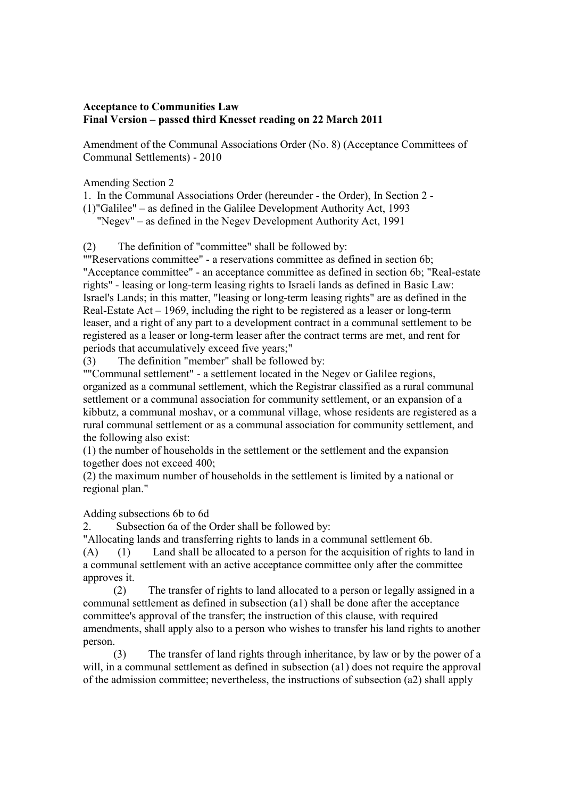## **Acceptance to Communities Law Final Version – passed third Knesset reading on 22 March 2011**

Amendment of the Communal Associations Order (No. 8) (Acceptance Committees of Communal Settlements) - 2010

Amending Section 2

1. In the Communal Associations Order (hereunder - the Order), In Section 2 -

(1)"Galilee" – as defined in the Galilee Development Authority Act, 1993

"Negev" – as defined in the Negev Development Authority Act, 1991

(2) The definition of "committee" shall be followed by:

""Reservations committee" - a reservations committee as defined in section 6b; "Acceptance committee" - an acceptance committee as defined in section 6b; "Real-estate rights" - leasing or long-term leasing rights to Israeli lands as defined in Basic Law: Israel's Lands; in this matter, "leasing or long-term leasing rights" are as defined in the Real-Estate Act – 1969, including the right to be registered as a leaser or long-term leaser, and a right of any part to a development contract in a communal settlement to be registered as a leaser or long-term leaser after the contract terms are met, and rent for periods that accumulatively exceed five years;"

(3) The definition "member" shall be followed by:

""Communal settlement" - a settlement located in the Negev or Galilee regions, organized as a communal settlement, which the Registrar classified as a rural communal settlement or a communal association for community settlement, or an expansion of a kibbutz, a communal moshav, or a communal village, whose residents are registered as a rural communal settlement or as a communal association for community settlement, and the following also exist:

(1) the number of households in the settlement or the settlement and the expansion together does not exceed 400;

(2) the maximum number of households in the settlement is limited by a national or regional plan."

Adding subsections 6b to 6d

2. Subsection 6a of the Order shall be followed by:

"Allocating lands and transferring rights to lands in a communal settlement 6b.

(A) (1) Land shall be allocated to a person for the acquisition of rights to land in a communal settlement with an active acceptance committee only after the committee approves it.

 (2) The transfer of rights to land allocated to a person or legally assigned in a communal settlement as defined in subsection (a1) shall be done after the acceptance committee's approval of the transfer; the instruction of this clause, with required amendments, shall apply also to a person who wishes to transfer his land rights to another person.

 (3) The transfer of land rights through inheritance, by law or by the power of a will, in a communal settlement as defined in subsection (a1) does not require the approval of the admission committee; nevertheless, the instructions of subsection (a2) shall apply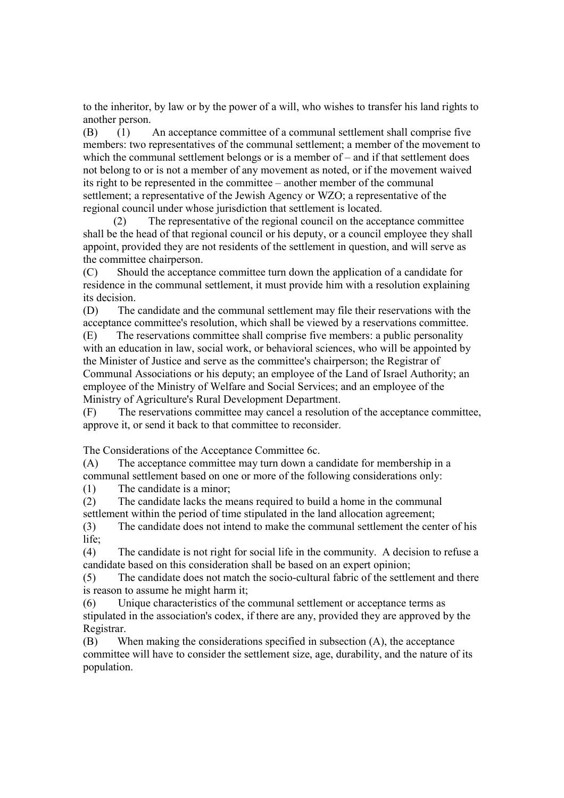to the inheritor, by law or by the power of a will, who wishes to transfer his land rights to another person.

(B) (1) An acceptance committee of a communal settlement shall comprise five members: two representatives of the communal settlement; a member of the movement to which the communal settlement belongs or is a member of – and if that settlement does not belong to or is not a member of any movement as noted, or if the movement waived its right to be represented in the committee – another member of the communal settlement; a representative of the Jewish Agency or WZO; a representative of the regional council under whose jurisdiction that settlement is located.

 (2) The representative of the regional council on the acceptance committee shall be the head of that regional council or his deputy, or a council employee they shall appoint, provided they are not residents of the settlement in question, and will serve as the committee chairperson.

(C) Should the acceptance committee turn down the application of a candidate for residence in the communal settlement, it must provide him with a resolution explaining its decision.

(D) The candidate and the communal settlement may file their reservations with the acceptance committee's resolution, which shall be viewed by a reservations committee. (E) The reservations committee shall comprise five members: a public personality

with an education in law, social work, or behavioral sciences, who will be appointed by the Minister of Justice and serve as the committee's chairperson; the Registrar of Communal Associations or his deputy; an employee of the Land of Israel Authority; an employee of the Ministry of Welfare and Social Services; and an employee of the Ministry of Agriculture's Rural Development Department.

(F) The reservations committee may cancel a resolution of the acceptance committee, approve it, or send it back to that committee to reconsider.

The Considerations of the Acceptance Committee 6c.

(A) The acceptance committee may turn down a candidate for membership in a communal settlement based on one or more of the following considerations only:

(1) The candidate is a minor;

(2) The candidate lacks the means required to build a home in the communal settlement within the period of time stipulated in the land allocation agreement;

(3) The candidate does not intend to make the communal settlement the center of his life;

(4) The candidate is not right for social life in the community. A decision to refuse a candidate based on this consideration shall be based on an expert opinion;

(5) The candidate does not match the socio-cultural fabric of the settlement and there is reason to assume he might harm it;

(6) Unique characteristics of the communal settlement or acceptance terms as stipulated in the association's codex, if there are any, provided they are approved by the Registrar.

(B) When making the considerations specified in subsection (A), the acceptance committee will have to consider the settlement size, age, durability, and the nature of its population.